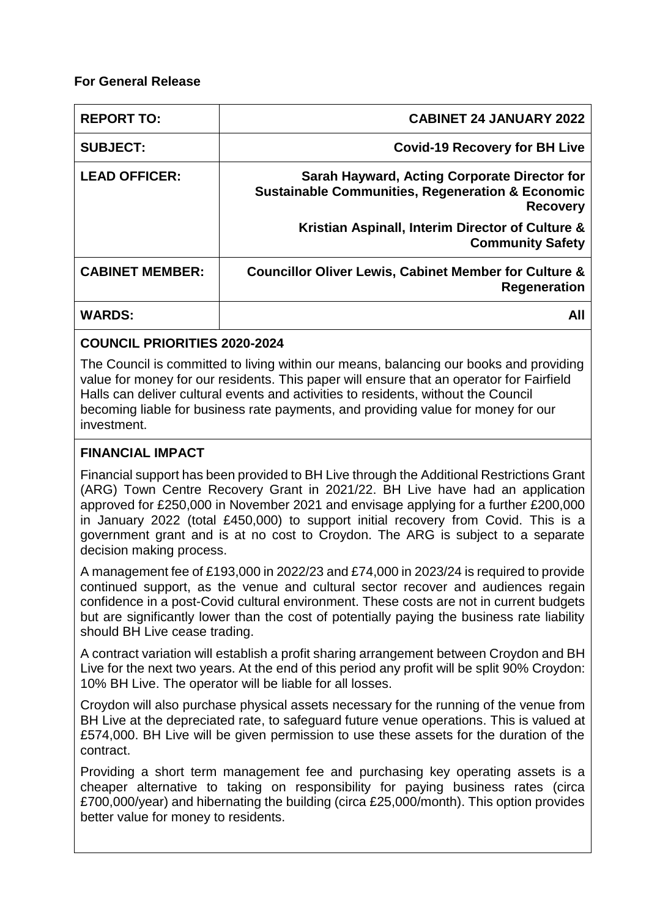## **For General Release**

| <b>REPORT TO:</b>      | <b>CABINET 24 JANUARY 2022</b>                                                                                                 |
|------------------------|--------------------------------------------------------------------------------------------------------------------------------|
| <b>SUBJECT:</b>        | <b>Covid-19 Recovery for BH Live</b>                                                                                           |
| <b>LEAD OFFICER:</b>   | Sarah Hayward, Acting Corporate Director for<br><b>Sustainable Communities, Regeneration &amp; Economic</b><br><b>Recovery</b> |
|                        | Kristian Aspinall, Interim Director of Culture &<br><b>Community Safety</b>                                                    |
| <b>CABINET MEMBER:</b> | <b>Councillor Oliver Lewis, Cabinet Member for Culture &amp;</b><br><b>Regeneration</b>                                        |
| <b>WARDS:</b>          | All                                                                                                                            |

# **COUNCIL PRIORITIES 2020-2024**

The Council is committed to living within our means, balancing our books and providing value for money for our residents. This paper will ensure that an operator for Fairfield Halls can deliver cultural events and activities to residents, without the Council becoming liable for business rate payments, and providing value for money for our investment.

# **FINANCIAL IMPACT**

Financial support has been provided to BH Live through the Additional Restrictions Grant (ARG) Town Centre Recovery Grant in 2021/22. BH Live have had an application approved for £250,000 in November 2021 and envisage applying for a further £200,000 in January 2022 (total £450,000) to support initial recovery from Covid. This is a government grant and is at no cost to Croydon. The ARG is subject to a separate decision making process.

A management fee of £193,000 in 2022/23 and £74,000 in 2023/24 is required to provide continued support, as the venue and cultural sector recover and audiences regain confidence in a post-Covid cultural environment. These costs are not in current budgets but are significantly lower than the cost of potentially paying the business rate liability should BH Live cease trading.

A contract variation will establish a profit sharing arrangement between Croydon and BH Live for the next two years. At the end of this period any profit will be split 90% Croydon: 10% BH Live. The operator will be liable for all losses.

Croydon will also purchase physical assets necessary for the running of the venue from BH Live at the depreciated rate, to safeguard future venue operations. This is valued at £574,000. BH Live will be given permission to use these assets for the duration of the contract.

Providing a short term management fee and purchasing key operating assets is a cheaper alternative to taking on responsibility for paying business rates (circa £700,000/year) and hibernating the building (circa £25,000/month). This option provides better value for money to residents.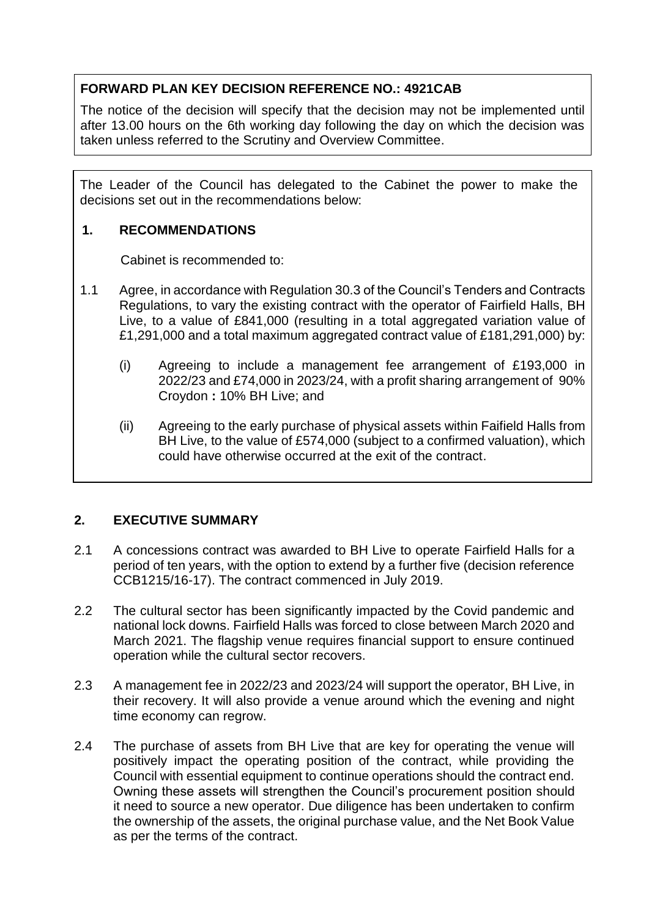# **FORWARD PLAN KEY DECISION REFERENCE NO.: 4921CAB**

The notice of the decision will specify that the decision may not be implemented until after 13.00 hours on the 6th working day following the day on which the decision was taken unless referred to the Scrutiny and Overview Committee.

The Leader of the Council has delegated to the Cabinet the power to make the decisions set out in the recommendations below:

## **1. RECOMMENDATIONS**

Cabinet is recommended to:

- 1.1 Agree, in accordance with Regulation 30.3 of the Council's Tenders and Contracts Regulations, to vary the existing contract with the operator of Fairfield Halls, BH Live, to a value of £841,000 (resulting in a total aggregated variation value of £1,291,000 and a total maximum aggregated contract value of £181,291,000) by:
	- (i) Agreeing to include a management fee arrangement of £193,000 in 2022/23 and £74,000 in 2023/24, with a profit sharing arrangement of 90% Croydon **:** 10% BH Live; and
	- (ii) Agreeing to the early purchase of physical assets within Faifield Halls from BH Live, to the value of £574,000 (subject to a confirmed valuation), which could have otherwise occurred at the exit of the contract.

## **2. EXECUTIVE SUMMARY**

If the

- 2.1 A concessions contract was awarded to BH Live to operate Fairfield Halls for a period of ten years, with the option to extend by a further five (decision reference CCB1215/16-17). The contract commenced in July 2019.
- 2.2 The cultural sector has been significantly impacted by the Covid pandemic and national lock downs. Fairfield Halls was forced to close between March 2020 and March 2021. The flagship venue requires financial support to ensure continued operation while the cultural sector recovers.
- 2.3 A management fee in 2022/23 and 2023/24 will support the operator, BH Live, in their recovery. It will also provide a venue around which the evening and night time economy can regrow.
- 2.4 The purchase of assets from BH Live that are key for operating the venue will positively impact the operating position of the contract, while providing the Council with essential equipment to continue operations should the contract end. Owning these assets will strengthen the Council's procurement position should it need to source a new operator. Due diligence has been undertaken to confirm the ownership of the assets, the original purchase value, and the Net Book Value as per the terms of the contract.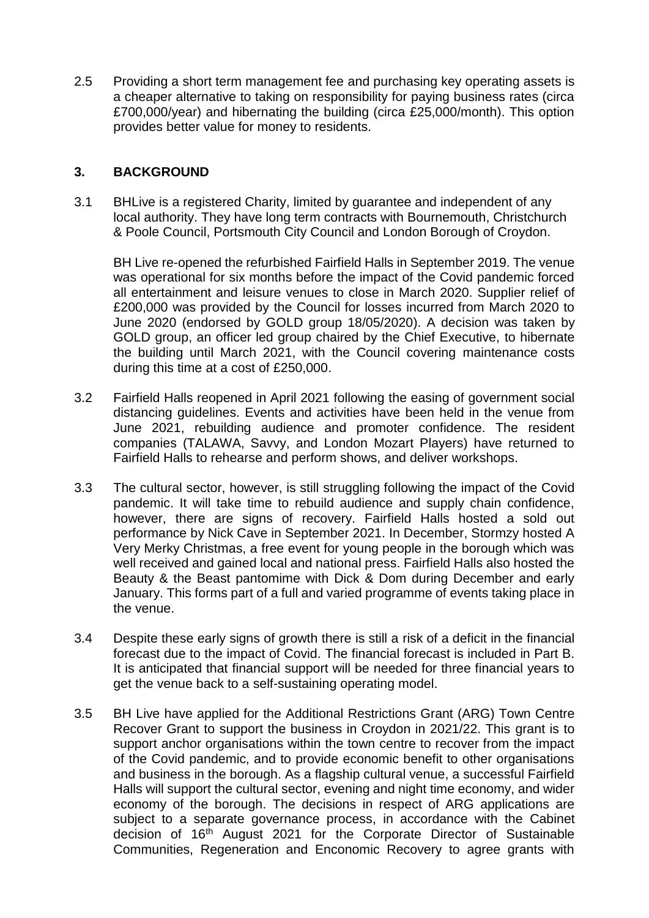2.5 Providing a short term management fee and purchasing key operating assets is a cheaper alternative to taking on responsibility for paying business rates (circa £700,000/year) and hibernating the building (circa £25,000/month). This option provides better value for money to residents.

## **3. BACKGROUND**

3.1 BHLive is a registered Charity, limited by guarantee and independent of any local authority. They have long term contracts with Bournemouth, Christchurch & Poole Council, Portsmouth City Council and London Borough of Croydon.

BH Live re-opened the refurbished Fairfield Halls in September 2019. The venue was operational for six months before the impact of the Covid pandemic forced all entertainment and leisure venues to close in March 2020. Supplier relief of £200,000 was provided by the Council for losses incurred from March 2020 to June 2020 (endorsed by GOLD group 18/05/2020). A decision was taken by GOLD group, an officer led group chaired by the Chief Executive, to hibernate the building until March 2021, with the Council covering maintenance costs during this time at a cost of £250,000.

- 3.2 Fairfield Halls reopened in April 2021 following the easing of government social distancing guidelines. Events and activities have been held in the venue from June 2021, rebuilding audience and promoter confidence. The resident companies (TALAWA, Savvy, and London Mozart Players) have returned to Fairfield Halls to rehearse and perform shows, and deliver workshops.
- 3.3 The cultural sector, however, is still struggling following the impact of the Covid pandemic. It will take time to rebuild audience and supply chain confidence, however, there are signs of recovery. Fairfield Halls hosted a sold out performance by Nick Cave in September 2021. In December, Stormzy hosted A Very Merky Christmas, a free event for young people in the borough which was well received and gained local and national press. Fairfield Halls also hosted the Beauty & the Beast pantomime with Dick & Dom during December and early January. This forms part of a full and varied programme of events taking place in the venue.
- 3.4 Despite these early signs of growth there is still a risk of a deficit in the financial forecast due to the impact of Covid. The financial forecast is included in Part B. It is anticipated that financial support will be needed for three financial years to get the venue back to a self-sustaining operating model.
- 3.5 BH Live have applied for the Additional Restrictions Grant (ARG) Town Centre Recover Grant to support the business in Croydon in 2021/22. This grant is to support anchor organisations within the town centre to recover from the impact of the Covid pandemic, and to provide economic benefit to other organisations and business in the borough. As a flagship cultural venue, a successful Fairfield Halls will support the cultural sector, evening and night time economy, and wider economy of the borough. The decisions in respect of ARG applications are subject to a separate governance process, in accordance with the Cabinet decision of 16<sup>th</sup> August 2021 for the Corporate Director of Sustainable Communities, Regeneration and Enconomic Recovery to agree grants with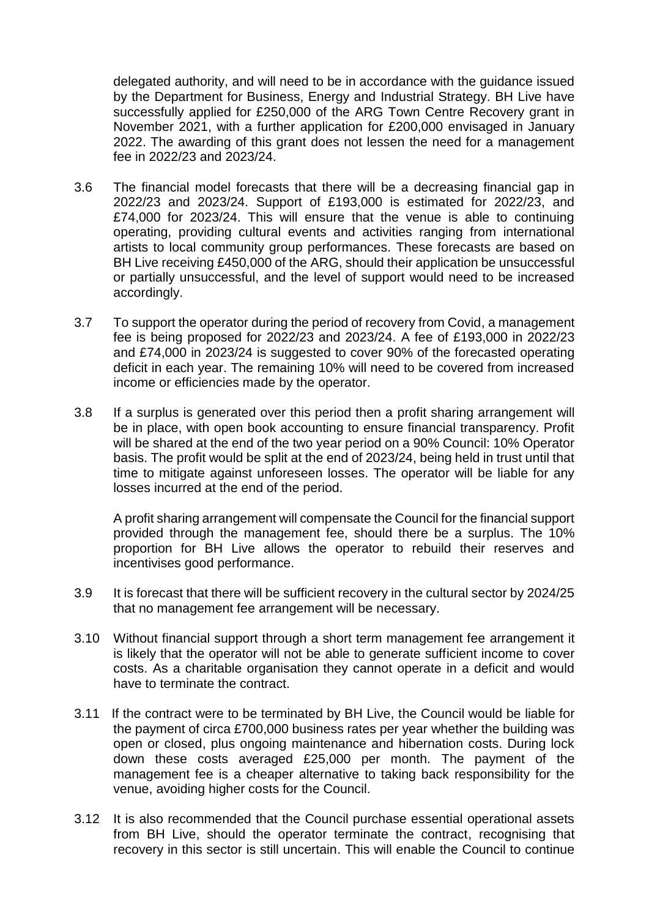delegated authority, and will need to be in accordance with the guidance issued by the Department for Business, Energy and Industrial Strategy. BH Live have successfully applied for £250,000 of the ARG Town Centre Recovery grant in November 2021, with a further application for £200,000 envisaged in January 2022. The awarding of this grant does not lessen the need for a management fee in 2022/23 and 2023/24.

- 3.6 The financial model forecasts that there will be a decreasing financial gap in 2022/23 and 2023/24. Support of £193,000 is estimated for 2022/23, and £74,000 for 2023/24. This will ensure that the venue is able to continuing operating, providing cultural events and activities ranging from international artists to local community group performances. These forecasts are based on BH Live receiving £450,000 of the ARG, should their application be unsuccessful or partially unsuccessful, and the level of support would need to be increased accordingly.
- 3.7 To support the operator during the period of recovery from Covid, a management fee is being proposed for 2022/23 and 2023/24. A fee of £193,000 in 2022/23 and £74,000 in 2023/24 is suggested to cover 90% of the forecasted operating deficit in each year. The remaining 10% will need to be covered from increased income or efficiencies made by the operator.
- 3.8 If a surplus is generated over this period then a profit sharing arrangement will be in place, with open book accounting to ensure financial transparency. Profit will be shared at the end of the two year period on a 90% Council: 10% Operator basis. The profit would be split at the end of 2023/24, being held in trust until that time to mitigate against unforeseen losses. The operator will be liable for any losses incurred at the end of the period.

A profit sharing arrangement will compensate the Council for the financial support provided through the management fee, should there be a surplus. The 10% proportion for BH Live allows the operator to rebuild their reserves and incentivises good performance.

- 3.9 It is forecast that there will be sufficient recovery in the cultural sector by 2024/25 that no management fee arrangement will be necessary.
- 3.10 Without financial support through a short term management fee arrangement it is likely that the operator will not be able to generate sufficient income to cover costs. As a charitable organisation they cannot operate in a deficit and would have to terminate the contract.
- 3.11 If the contract were to be terminated by BH Live, the Council would be liable for the payment of circa £700,000 business rates per year whether the building was open or closed, plus ongoing maintenance and hibernation costs. During lock down these costs averaged £25,000 per month. The payment of the management fee is a cheaper alternative to taking back responsibility for the venue, avoiding higher costs for the Council.
- 3.12 It is also recommended that the Council purchase essential operational assets from BH Live, should the operator terminate the contract, recognising that recovery in this sector is still uncertain. This will enable the Council to continue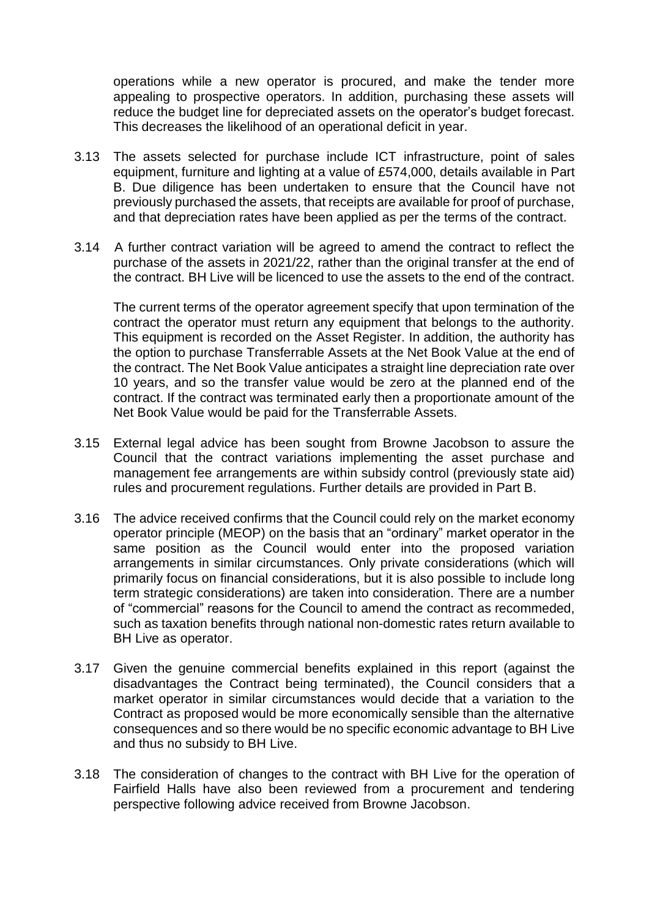operations while a new operator is procured, and make the tender more appealing to prospective operators. In addition, purchasing these assets will reduce the budget line for depreciated assets on the operator's budget forecast. This decreases the likelihood of an operational deficit in year.

- 3.13 The assets selected for purchase include ICT infrastructure, point of sales equipment, furniture and lighting at a value of £574,000, details available in Part B. Due diligence has been undertaken to ensure that the Council have not previously purchased the assets, that receipts are available for proof of purchase, and that depreciation rates have been applied as per the terms of the contract.
- 3.14 A further contract variation will be agreed to amend the contract to reflect the purchase of the assets in 2021/22, rather than the original transfer at the end of the contract. BH Live will be licenced to use the assets to the end of the contract.

The current terms of the operator agreement specify that upon termination of the contract the operator must return any equipment that belongs to the authority. This equipment is recorded on the Asset Register. In addition, the authority has the option to purchase Transferrable Assets at the Net Book Value at the end of the contract. The Net Book Value anticipates a straight line depreciation rate over 10 years, and so the transfer value would be zero at the planned end of the contract. If the contract was terminated early then a proportionate amount of the Net Book Value would be paid for the Transferrable Assets.

- 3.15 External legal advice has been sought from Browne Jacobson to assure the Council that the contract variations implementing the asset purchase and management fee arrangements are within subsidy control (previously state aid) rules and procurement regulations. Further details are provided in Part B.
- 3.16 The advice received confirms that the Council could rely on the market economy operator principle (MEOP) on the basis that an "ordinary" market operator in the same position as the Council would enter into the proposed variation arrangements in similar circumstances. Only private considerations (which will primarily focus on financial considerations, but it is also possible to include long term strategic considerations) are taken into consideration. There are a number of "commercial" reasons for the Council to amend the contract as recommeded, such as taxation benefits through national non-domestic rates return available to BH Live as operator.
- 3.17 Given the genuine commercial benefits explained in this report (against the disadvantages the Contract being terminated), the Council considers that a market operator in similar circumstances would decide that a variation to the Contract as proposed would be more economically sensible than the alternative consequences and so there would be no specific economic advantage to BH Live and thus no subsidy to BH Live.
- 3.18 The consideration of changes to the contract with BH Live for the operation of Fairfield Halls have also been reviewed from a procurement and tendering perspective following advice received from Browne Jacobson.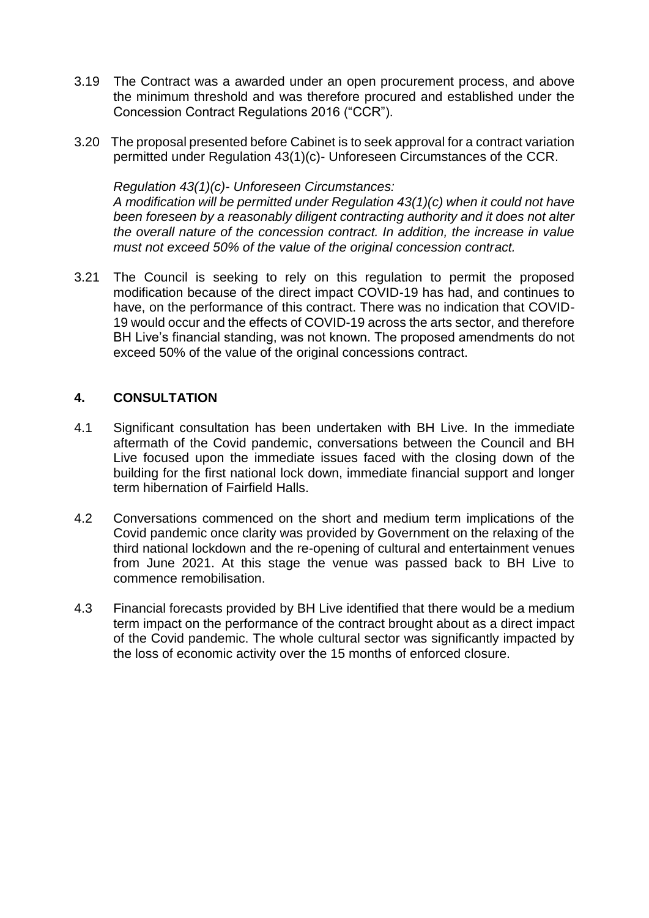- 3.19 The Contract was a awarded under an open procurement process, and above the minimum threshold and was therefore procured and established under the Concession Contract Regulations 2016 ("CCR").
- 3.20 The proposal presented before Cabinet is to seek approval for a contract variation permitted under Regulation 43(1)(c)- Unforeseen Circumstances of the CCR.

#### *Regulation 43(1)(c)- Unforeseen Circumstances:*

*A modification will be permitted under Regulation 43(1)(c) when it could not have been foreseen by a reasonably diligent contracting authority and it does not alter the overall nature of the concession contract. In addition, the increase in value must not exceed 50% of the value of the original concession contract.* 

3.21 The Council is seeking to rely on this regulation to permit the proposed modification because of the direct impact COVID-19 has had, and continues to have, on the performance of this contract. There was no indication that COVID-19 would occur and the effects of COVID-19 across the arts sector, and therefore BH Live's financial standing, was not known. The proposed amendments do not exceed 50% of the value of the original concessions contract.

## **4. CONSULTATION**

- 4.1 Significant consultation has been undertaken with BH Live. In the immediate aftermath of the Covid pandemic, conversations between the Council and BH Live focused upon the immediate issues faced with the closing down of the building for the first national lock down, immediate financial support and longer term hibernation of Fairfield Halls.
- 4.2 Conversations commenced on the short and medium term implications of the Covid pandemic once clarity was provided by Government on the relaxing of the third national lockdown and the re-opening of cultural and entertainment venues from June 2021. At this stage the venue was passed back to BH Live to commence remobilisation.
- 4.3 Financial forecasts provided by BH Live identified that there would be a medium term impact on the performance of the contract brought about as a direct impact of the Covid pandemic. The whole cultural sector was significantly impacted by the loss of economic activity over the 15 months of enforced closure.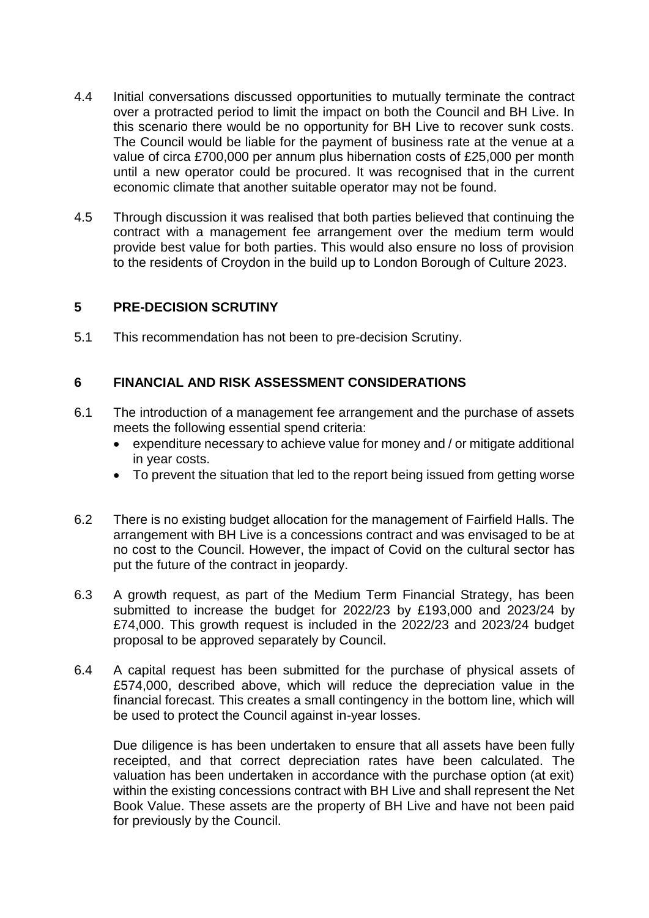- 4.4 Initial conversations discussed opportunities to mutually terminate the contract over a protracted period to limit the impact on both the Council and BH Live. In this scenario there would be no opportunity for BH Live to recover sunk costs. The Council would be liable for the payment of business rate at the venue at a value of circa £700,000 per annum plus hibernation costs of £25,000 per month until a new operator could be procured. It was recognised that in the current economic climate that another suitable operator may not be found.
- 4.5 Through discussion it was realised that both parties believed that continuing the contract with a management fee arrangement over the medium term would provide best value for both parties. This would also ensure no loss of provision to the residents of Croydon in the build up to London Borough of Culture 2023.

## **5 PRE-DECISION SCRUTINY**

5.1 This recommendation has not been to pre-decision Scrutiny.

#### **6 FINANCIAL AND RISK ASSESSMENT CONSIDERATIONS**

- 6.1 The introduction of a management fee arrangement and the purchase of assets meets the following essential spend criteria:
	- expenditure necessary to achieve value for money and / or mitigate additional in year costs.
	- To prevent the situation that led to the report being issued from getting worse
- 6.2 There is no existing budget allocation for the management of Fairfield Halls. The arrangement with BH Live is a concessions contract and was envisaged to be at no cost to the Council. However, the impact of Covid on the cultural sector has put the future of the contract in jeopardy.
- 6.3 A growth request, as part of the Medium Term Financial Strategy, has been submitted to increase the budget for 2022/23 by £193,000 and 2023/24 by £74,000. This growth request is included in the 2022/23 and 2023/24 budget proposal to be approved separately by Council.
- 6.4 A capital request has been submitted for the purchase of physical assets of £574,000, described above, which will reduce the depreciation value in the financial forecast. This creates a small contingency in the bottom line, which will be used to protect the Council against in-year losses.

Due diligence is has been undertaken to ensure that all assets have been fully receipted, and that correct depreciation rates have been calculated. The valuation has been undertaken in accordance with the purchase option (at exit) within the existing concessions contract with BH Live and shall represent the Net Book Value. These assets are the property of BH Live and have not been paid for previously by the Council.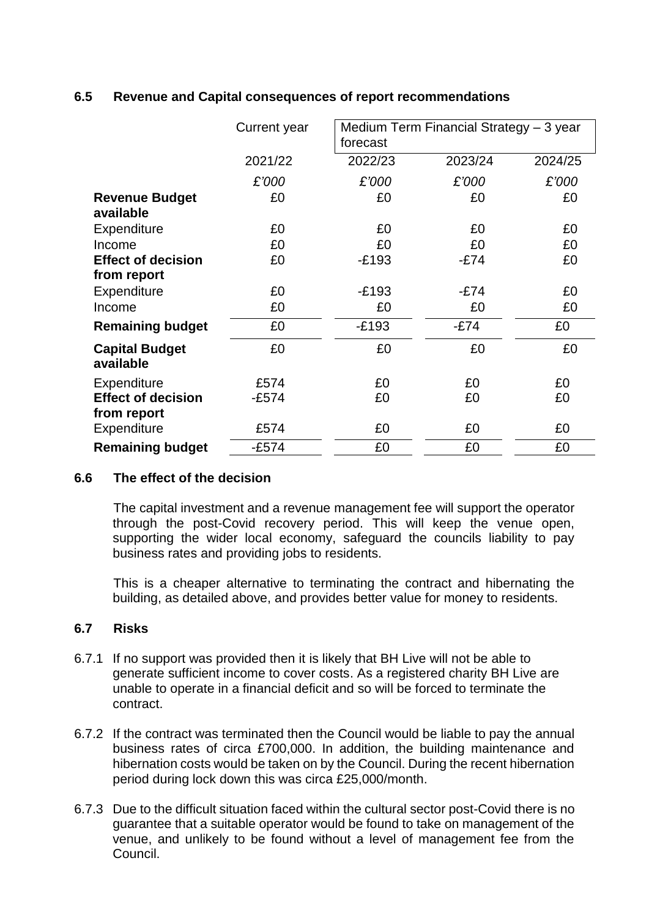## **6.5 Revenue and Capital consequences of report recommendations**

|                                          | <b>Current year</b> | Medium Term Financial Strategy - 3 year<br>forecast |         |         |
|------------------------------------------|---------------------|-----------------------------------------------------|---------|---------|
|                                          | 2021/22             | 2022/23                                             | 2023/24 | 2024/25 |
|                                          | £'000               | £'000                                               | £'000   | £'000   |
| <b>Revenue Budget</b><br>available       | £0                  | £0                                                  | £0      | £0      |
| <b>Expenditure</b>                       | £0                  | £0                                                  | £0      | £0      |
| Income                                   | £0                  | £0                                                  | £0      | £0      |
| <b>Effect of decision</b>                | £0                  | $-E193$                                             | $-E74$  | £0      |
| from report                              |                     |                                                     |         |         |
| Expenditure                              | £0                  | $-E193$                                             | $-E74$  | £0      |
| Income                                   | £0                  | £0                                                  | £0      | £0      |
| <b>Remaining budget</b>                  | £0                  | $-E193$                                             | $-E74$  | £0      |
| <b>Capital Budget</b><br>available       | £0                  | £0                                                  | £0      | £0      |
| Expenditure                              | £574                | £0                                                  | £0      | £0      |
| <b>Effect of decision</b><br>from report | $-E574$             | £0                                                  | £0      | £0      |
| <b>Expenditure</b>                       | £574                | £0                                                  | £0      | £0      |
| <b>Remaining budget</b>                  | $-E574$             | £0                                                  | £0      | £0      |

#### **6.6 The effect of the decision**

The capital investment and a revenue management fee will support the operator through the post-Covid recovery period. This will keep the venue open, supporting the wider local economy, safeguard the councils liability to pay business rates and providing jobs to residents.

This is a cheaper alternative to terminating the contract and hibernating the building, as detailed above, and provides better value for money to residents.

## **6.7 Risks**

- 6.7.1 If no support was provided then it is likely that BH Live will not be able to generate sufficient income to cover costs. As a registered charity BH Live are unable to operate in a financial deficit and so will be forced to terminate the contract.
- 6.7.2 If the contract was terminated then the Council would be liable to pay the annual business rates of circa £700,000. In addition, the building maintenance and hibernation costs would be taken on by the Council. During the recent hibernation period during lock down this was circa £25,000/month.
- 6.7.3 Due to the difficult situation faced within the cultural sector post-Covid there is no guarantee that a suitable operator would be found to take on management of the venue, and unlikely to be found without a level of management fee from the Council.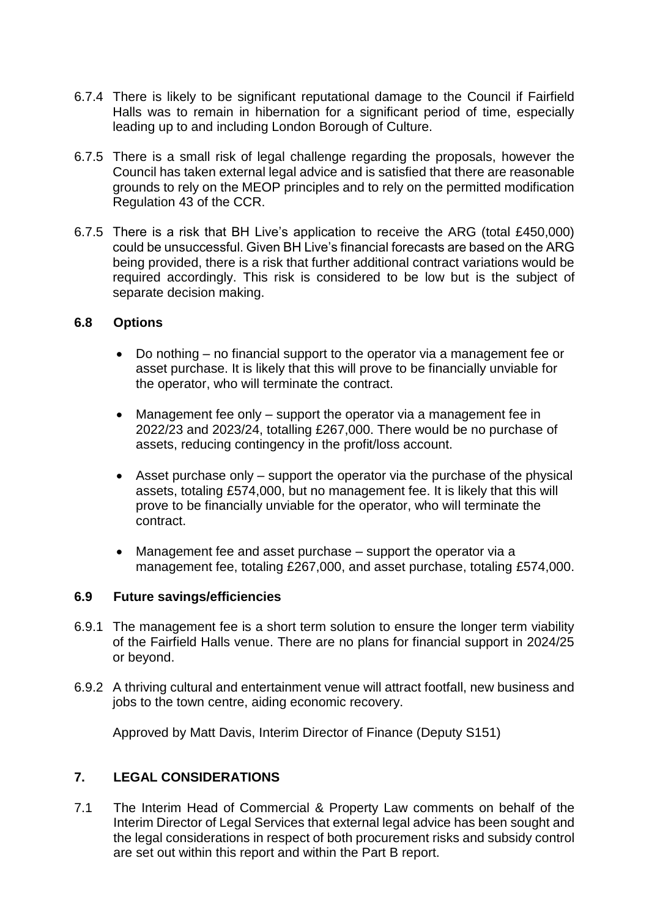- 6.7.4 There is likely to be significant reputational damage to the Council if Fairfield Halls was to remain in hibernation for a significant period of time, especially leading up to and including London Borough of Culture.
- 6.7.5 There is a small risk of legal challenge regarding the proposals, however the Council has taken external legal advice and is satisfied that there are reasonable grounds to rely on the MEOP principles and to rely on the permitted modification Regulation 43 of the CCR.
- 6.7.5 There is a risk that BH Live's application to receive the ARG (total £450,000) could be unsuccessful. Given BH Live's financial forecasts are based on the ARG being provided, there is a risk that further additional contract variations would be required accordingly. This risk is considered to be low but is the subject of separate decision making.

#### **6.8 Options**

- Do nothing no financial support to the operator via a management fee or asset purchase. It is likely that this will prove to be financially unviable for the operator, who will terminate the contract.
- Management fee only support the operator via a management fee in 2022/23 and 2023/24, totalling £267,000. There would be no purchase of assets, reducing contingency in the profit/loss account.
- Asset purchase only support the operator via the purchase of the physical assets, totaling £574,000, but no management fee. It is likely that this will prove to be financially unviable for the operator, who will terminate the contract.
- Management fee and asset purchase support the operator via a management fee, totaling £267,000, and asset purchase, totaling £574,000.

#### **6.9 Future savings/efficiencies**

- 6.9.1 The management fee is a short term solution to ensure the longer term viability of the Fairfield Halls venue. There are no plans for financial support in 2024/25 or beyond.
- 6.9.2 A thriving cultural and entertainment venue will attract footfall, new business and jobs to the town centre, aiding economic recovery.

Approved by Matt Davis, Interim Director of Finance (Deputy S151)

## **7. LEGAL CONSIDERATIONS**

7.1 The Interim Head of Commercial & Property Law comments on behalf of the Interim Director of Legal Services that external legal advice has been sought and the legal considerations in respect of both procurement risks and subsidy control are set out within this report and within the Part B report.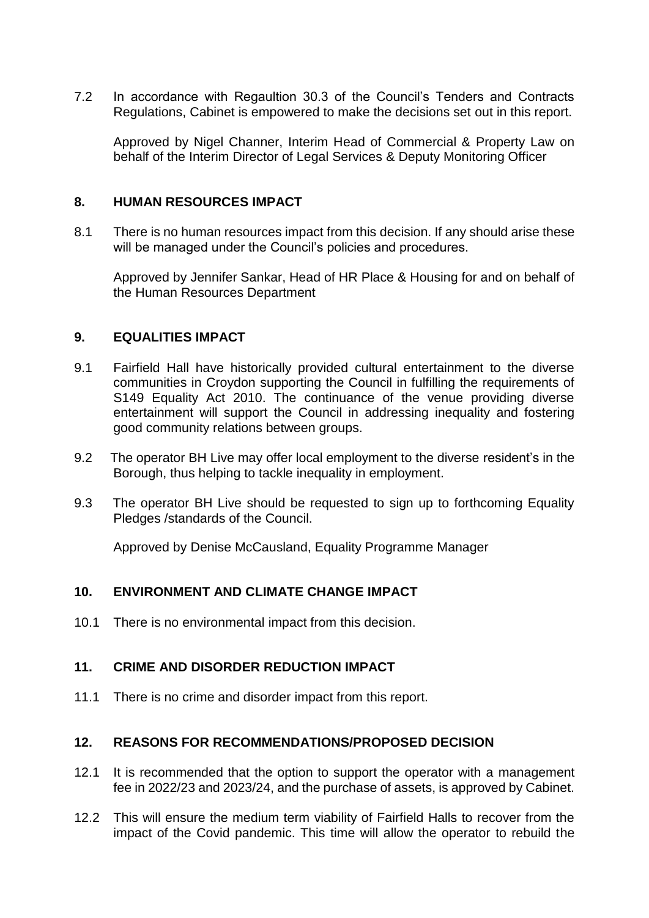7.2 In accordance with Regaultion 30.3 of the Council's Tenders and Contracts Regulations, Cabinet is empowered to make the decisions set out in this report.

Approved by Nigel Channer, Interim Head of Commercial & Property Law on behalf of the Interim Director of Legal Services & Deputy Monitoring Officer

#### **8. HUMAN RESOURCES IMPACT**

8.1 There is no human resources impact from this decision. If any should arise these will be managed under the Council's policies and procedures.

Approved by Jennifer Sankar, Head of HR Place & Housing for and on behalf of the Human Resources Department

#### **9. EQUALITIES IMPACT**

- 9.1 Fairfield Hall have historically provided cultural entertainment to the diverse communities in Croydon supporting the Council in fulfilling the requirements of S149 Equality Act 2010. The continuance of the venue providing diverse entertainment will support the Council in addressing inequality and fostering good community relations between groups.
- 9.2 The operator BH Live may offer local employment to the diverse resident's in the Borough, thus helping to tackle inequality in employment.
- 9.3 The operator BH Live should be requested to sign up to forthcoming Equality Pledges /standards of the Council.

Approved by Denise McCausland, Equality Programme Manager

#### **10. ENVIRONMENT AND CLIMATE CHANGE IMPACT**

10.1 There is no environmental impact from this decision.

#### **11. CRIME AND DISORDER REDUCTION IMPACT**

11.1 There is no crime and disorder impact from this report.

#### **12. REASONS FOR RECOMMENDATIONS/PROPOSED DECISION**

- 12.1 It is recommended that the option to support the operator with a management fee in 2022/23 and 2023/24, and the purchase of assets, is approved by Cabinet.
- 12.2 This will ensure the medium term viability of Fairfield Halls to recover from the impact of the Covid pandemic. This time will allow the operator to rebuild the